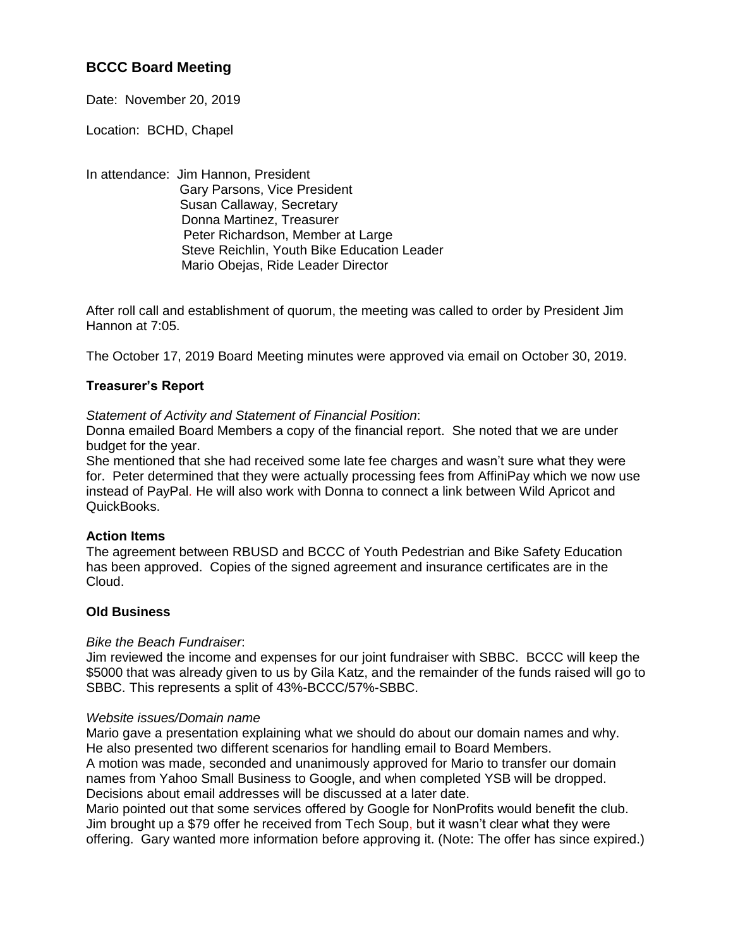# **BCCC Board Meeting**

Date: November 20, 2019

Location: BCHD, Chapel

In attendance: Jim Hannon, President Gary Parsons, Vice President Susan Callaway, Secretary Donna Martinez, Treasurer Peter Richardson, Member at Large Steve Reichlin, Youth Bike Education Leader Mario Obejas, Ride Leader Director

After roll call and establishment of quorum, the meeting was called to order by President Jim Hannon at 7:05.

The October 17, 2019 Board Meeting minutes were approved via email on October 30, 2019.

## **Treasurer's Report**

## *Statement of Activity and Statement of Financial Position*:

Donna emailed Board Members a copy of the financial report. She noted that we are under budget for the year.

She mentioned that she had received some late fee charges and wasn't sure what they were for. Peter determined that they were actually processing fees from AffiniPay which we now use instead of PayPal. He will also work with Donna to connect a link between Wild Apricot and QuickBooks.

## **Action Items**

The agreement between RBUSD and BCCC of Youth Pedestrian and Bike Safety Education has been approved. Copies of the signed agreement and insurance certificates are in the Cloud.

## **Old Business**

## *Bike the Beach Fundraiser*:

Jim reviewed the income and expenses for our joint fundraiser with SBBC. BCCC will keep the \$5000 that was already given to us by Gila Katz, and the remainder of the funds raised will go to SBBC. This represents a split of 43%-BCCC/57%-SBBC.

## *Website issues/Domain name*

Mario gave a presentation explaining what we should do about our domain names and why. He also presented two different scenarios for handling email to Board Members. A motion was made, seconded and unanimously approved for Mario to transfer our domain names from Yahoo Small Business to Google, and when completed YSB will be dropped. Decisions about email addresses will be discussed at a later date.

Mario pointed out that some services offered by Google for NonProfits would benefit the club. Jim brought up a \$79 offer he received from Tech Soup, but it wasn't clear what they were offering. Gary wanted more information before approving it. (Note: The offer has since expired.)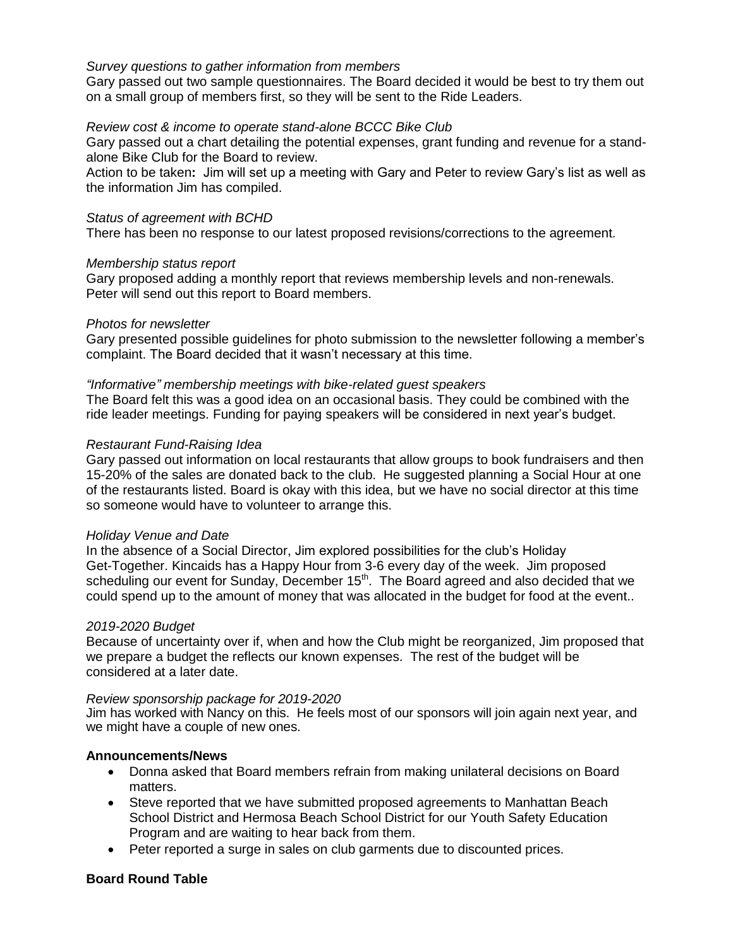## *Survey questions to gather information from members*

Gary passed out two sample questionnaires. The Board decided it would be best to try them out on a small group of members first, so they will be sent to the Ride Leaders.

### *Review cost & income to operate stand-alone BCCC Bike Club*

Gary passed out a chart detailing the potential expenses, grant funding and revenue for a standalone Bike Club for the Board to review.

Action to be taken**:** Jim will set up a meeting with Gary and Peter to review Gary's list as well as the information Jim has compiled.

#### *Status of agreement with BCHD*

There has been no response to our latest proposed revisions/corrections to the agreement.

#### *Membership status report*

Gary proposed adding a monthly report that reviews membership levels and non-renewals. Peter will send out this report to Board members.

#### *Photos for newsletter*

Gary presented possible guidelines for photo submission to the newsletter following a member's complaint. The Board decided that it wasn't necessary at this time.

#### *"Informative" membership meetings with bike-related guest speakers*

The Board felt this was a good idea on an occasional basis. They could be combined with the ride leader meetings. Funding for paying speakers will be considered in next year's budget.

#### *Restaurant Fund-Raising Idea*

Gary passed out information on local restaurants that allow groups to book fundraisers and then 15-20% of the sales are donated back to the club. He suggested planning a Social Hour at one of the restaurants listed. Board is okay with this idea, but we have no social director at this time so someone would have to volunteer to arrange this.

## *Holiday Venue and Date*

In the absence of a Social Director, Jim explored possibilities for the club's Holiday Get-Together. Kincaids has a Happy Hour from 3-6 every day of the week. Jim proposed scheduling our event for Sunday, December 15<sup>th</sup>. The Board agreed and also decided that we could spend up to the amount of money that was allocated in the budget for food at the event..

#### *2019-2020 Budget*

Because of uncertainty over if, when and how the Club might be reorganized, Jim proposed that we prepare a budget the reflects our known expenses. The rest of the budget will be considered at a later date.

#### *Review sponsorship package for 2019-2020*

Jim has worked with Nancy on this. He feels most of our sponsors will join again next year, and we might have a couple of new ones.

## **Announcements/News**

- Donna asked that Board members refrain from making unilateral decisions on Board matters.
- Steve reported that we have submitted proposed agreements to Manhattan Beach School District and Hermosa Beach School District for our Youth Safety Education Program and are waiting to hear back from them.
- Peter reported a surge in sales on club garments due to discounted prices.

## **Board Round Table**